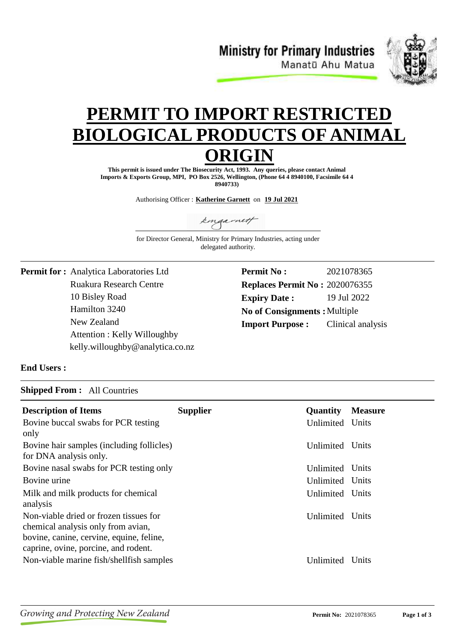**Ministry for Primary Industries** Manatū Ahu Matua



# **PERMIT TO IMPORT RESTRICTE BIOLOGICAL PRODUCTS OF ANIM ORIGIN**

**This permit is issued under The Biosecurity Act, 1993. Any queries, please contact Animal Imports & Exports Group, MPI, PO Box 2526, Wellington, (Phone 64 4 8940100, Facsimile 64 4 8940733)**

Authorising Officer : **Katherine Garnett** on **19 Jul 2021**

kingarnett

for Director General, Ministry for Primary Industries, acting under delegated authority.

Ruakura Research Centre 10 Bisley Road **Permit for :** Analytica Laboratories Ltd Hamilton 3240 New Zealand Attention : Kelly Willoughby kelly.willoughby@analytica.co.nz **Permit No : Expiry Date :** 19 Jul 2022 2021078365 **Replaces Permit No :** 2020076355 **Import Purpose :** No of Consignments : Multiple Clinical analysis

## **End Users :**

#### **Shipped From :** All Countries

| <b>Description of Items</b><br>Bovine buccal swabs for PCR testing<br>only                                                                                       | <b>Supplier</b> | <b>Quantity</b><br>Unlimited Units | <b>Measure</b> |
|------------------------------------------------------------------------------------------------------------------------------------------------------------------|-----------------|------------------------------------|----------------|
| Bovine hair samples (including follicles)<br>for DNA analysis only.                                                                                              |                 | Unlimited Units                    |                |
| Bovine nasal swabs for PCR testing only                                                                                                                          |                 | Unlimited Units                    |                |
| Bovine urine                                                                                                                                                     |                 | Unlimited Units                    |                |
| Milk and milk products for chemical<br>analysis                                                                                                                  |                 | Unlimited Units                    |                |
| Non-viable dried or frozen tissues for<br>chemical analysis only from avian,<br>bovine, canine, cervine, equine, feline,<br>caprine, ovine, porcine, and rodent. |                 | Unlimited Units                    |                |
| Non-viable marine fish/shellfish samples                                                                                                                         |                 | Unlimited Units                    |                |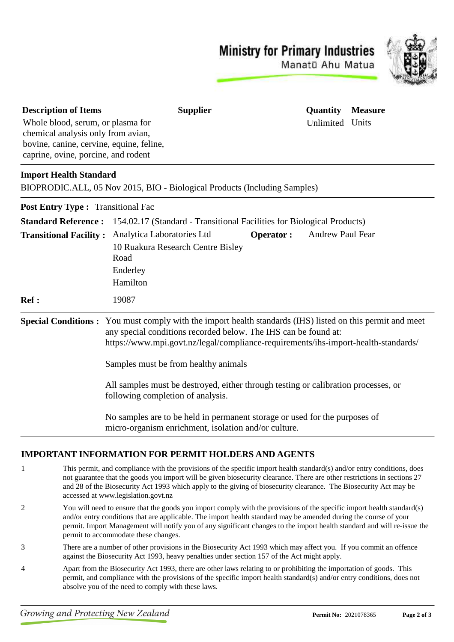**Ministry for Primary Industries** 



Manatū Ahu Matua

| <b>Description of Items</b>              | <b>Supplier</b>                                                                                                                                                                                                                                                           | Quantity         | <b>Measure</b> |
|------------------------------------------|---------------------------------------------------------------------------------------------------------------------------------------------------------------------------------------------------------------------------------------------------------------------------|------------------|----------------|
| Whole blood, serum, or plasma for        |                                                                                                                                                                                                                                                                           | Unlimited Units  |                |
| chemical analysis only from avian,       |                                                                                                                                                                                                                                                                           |                  |                |
| bovine, canine, cervine, equine, feline, |                                                                                                                                                                                                                                                                           |                  |                |
| caprine, ovine, porcine, and rodent      |                                                                                                                                                                                                                                                                           |                  |                |
| <b>Import Health Standard</b>            |                                                                                                                                                                                                                                                                           |                  |                |
|                                          | BIOPRODIC.ALL, 05 Nov 2015, BIO - Biological Products (Including Samples)                                                                                                                                                                                                 |                  |                |
| <b>Post Entry Type: Transitional Fac</b> |                                                                                                                                                                                                                                                                           |                  |                |
| <b>Standard Reference:</b>               | 154.02.17 (Standard - Transitional Facilities for Biological Products)                                                                                                                                                                                                    |                  |                |
| <b>Transitional Facility:</b>            | Analytica Laboratories Ltd<br><b>Operator:</b><br>10 Ruakura Research Centre Bisley<br>Road                                                                                                                                                                               | Andrew Paul Fear |                |
|                                          | Enderley                                                                                                                                                                                                                                                                  |                  |                |
|                                          | Hamilton                                                                                                                                                                                                                                                                  |                  |                |
| <b>Ref :</b>                             | 19087                                                                                                                                                                                                                                                                     |                  |                |
|                                          | <b>Special Conditions:</b> You must comply with the import health standards (IHS) listed on this permit and meet<br>any special conditions recorded below. The IHS can be found at:<br>https://www.mpi.govt.nz/legal/compliance-requirements/ihs-import-health-standards/ |                  |                |
|                                          | Samples must be from healthy animals                                                                                                                                                                                                                                      |                  |                |
|                                          | All samples must be destroyed, either through testing or calibration processes, or<br>following completion of analysis.                                                                                                                                                   |                  |                |
|                                          | No samples are to be held in permanent storage or used for the purposes of<br>micro-organism enrichment, isolation and/or culture.                                                                                                                                        |                  |                |

## **IMPORTANT INFORMATION FOR PERMIT HOLDERS AND AGENTS**

- 1 This permit, and compliance with the provisions of the specific import health standard(s) and/or entry conditions, does not guarantee that the goods you import will be given biosecurity clearance. There are other restrictions in sections 27 and 28 of the Biosecurity Act 1993 which apply to the giving of biosecurity clearance. The Biosecurity Act may be accessed at www.legislation.govt.nz
- 2 You will need to ensure that the goods you import comply with the provisions of the specific import health standard(s) and/or entry conditions that are applicable. The import health standard may be amended during the course of your permit. Import Management will notify you of any significant changes to the import health standard and will re-issue the permit to accommodate these changes.
- 3 There are a number of other provisions in the Biosecurity Act 1993 which may affect you. If you commit an offence against the Biosecurity Act 1993, heavy penalties under section 157 of the Act might apply.
- 4 Apart from the Biosecurity Act 1993, there are other laws relating to or prohibiting the importation of goods. This permit, and compliance with the provisions of the specific import health standard(s) and/or entry conditions, does not absolve you of the need to comply with these laws.